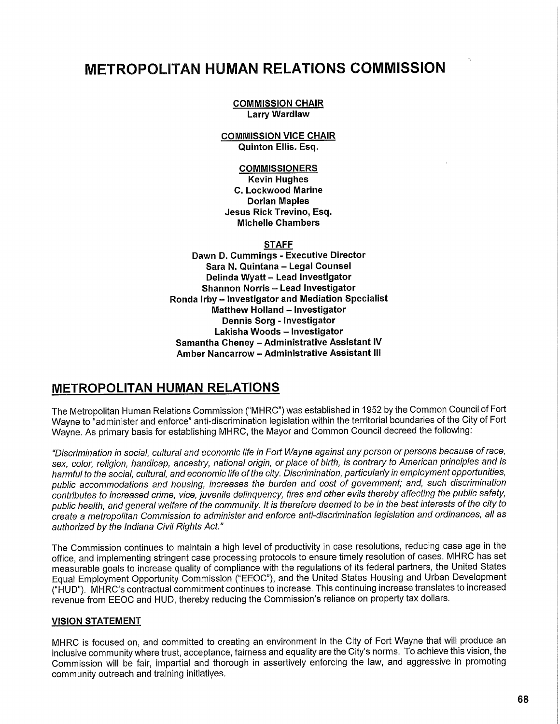# **METROPOLITAN HUMAN RELATIONS COMMISSION**

### **COMMISSION CHAIR Larry Wardlaw**

#### **COMMISSION VICE CHAIR Quinton Ellis. Esq.**

**COMMISSIONERS Kevin Hughes C. Lockwood Marine Dorian Maples Jesus Rick Trevino, Esq. Michelle Chambers** 

**STAFF** 

**Dawn D. Cummings - Executive Director Sara N. Quintana - Legal Counsel Delinda Wyatt - Lead Investigator Shannon Norris - Lead Investigator Ronda Irby - Investigator and Mediation Specialist Matthew Holland - Investigator Dennis Sorg - Investigator Lakisha Woods - Investigator Samantha Cheney - Administrative Assistant IV Amber Nancarrow - Administrative Assistant III** 

# **METROPOLITAN HUMAN RELATIONS**

The Metropolitan Human Relations Commission ("MHRC") was established in 1952 by the Common Council of Fort Wayne to "administer and enforce" anti-discrimination legislation within the territorial boundaries of the City of Fort Wayne. As primary basis for establishing MHRC , the Mayor and Common Council decreed the following:

"Discrimination in social, cultural and economic life in Fort Wayne against any person or persons because of race, sex, color, religion, handicap, ancestry, national origin, or place of birth, is contrary to American principles and is harmful to the social, cultural, and economic life of the city. Discrimination, particularly in employment opportunities, public accommodations and housing, increases the burden and cost of government; and, such discrimination contributes to increased crime, vice, juvenile delinquency, fires and other evils thereby affecting the public safety, public health, and general welfare of the community. It is therefore deemed to be in the best interests of the city to create a metropolitan Commission to administer and enforce anti-discrimination legislation and ordinances, all as authorized by the Indiana Civil Rights Act."

The Commission continues to maintain a high level of productivity in case resolutions, reducing case age in the office, and implementing stringent case processing protocols to ensure timely resolution of cases. MHRC has set measurable goals to increase quality of compliance with the regulations of its federal partners, the United States Equal Employment Opportunity Commission ("EEOC"), and the United States Housing and Urban Development ("HUD"). MHRC' s contractual commitment continues to increase. This continuing increase translates to increased revenue from EEOC and HUD, thereby reducing the Commission's reliance on property tax dollars.

## **VISION STATEMENT**

MHRC is focused on, and committed to creating an environment in the City of Fort Wayne that will produce an inclusive community where trust, acceptance, fairness and equality are the City's norms. To achieve this vision, the Commission will be fair, impartial and thorough in assertively enforcing the law, and aggressive in promoting community outreach and training initiatives.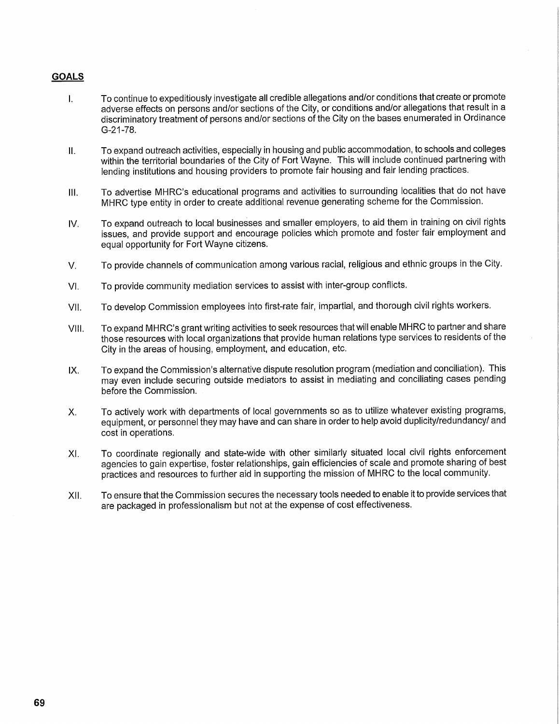## **GOALS**

- I. To continue to expeditiously investigate all credible allegations and/or conditions that create or promote adverse effects on persons and/or sections of the City, or conditions and/or allegations that result in a discriminatory treatment of persons and/or sections of the City on the bases enumerated in Ordinance G-21-78.
- II. To expand outreach activities, especially in housing and public accommodation, to schools and colleges within the territorial boundaries of the City of Fort Wayne. This will include continued partnering with lending institutions and housing providers to promote fair housing and fair lending practices.
- III. To advertise MHRC's educational programs and activities to surrounding localities that do not have MHRC type entity in order to create additional revenue generating scheme for the Commission.
- IV. To expand outreach to local businesses and smaller employers, to aid them in training on civil rights issues, and provide support and encourage policies which promote and foster fair employment and equal opportunity for Fort Wayne citizens.
- V. To provide channels of communication among various racial, religious and ethnic groups in the City.
- VI. To provide community mediation services to assist with inter-group conflicts.
- VII. To develop Commission employees into first-rate fair, impartial, and thorough civil rights workers.
- VIII. To expand MHRC's grant writing activities to seek resources that will enable MHRC to partner and share those resources with local organizations that provide human relations type services to residents of the City in the areas of housing, employment, and education, etc.
- IX. To expand the Commission's alternative dispute resolution program (mediation and conciliation). This may even include securing outside mediators to assist in mediating and conciliating cases pending before the Commission.
- X. To actively work with departments of local governments so as to utilize whatever existing programs, equipment, or personnel they may have and can share in order to help avoid duplicity/redundancy/ and cost in operations.
- XI. To coordinate regionally and state-wide with other similarly situated local civil rights enforcement agencies to gain expertise, foster relationships, gain efficiencies of scale and promote sharing of best practices and resources to further aid in supporting the mission of MHRC to the local community.
- XII. To ensure that the Commission secures the necessary tools needed to enable it to provide services that are packaged in professionalism but not at the expense of cost effectiveness.